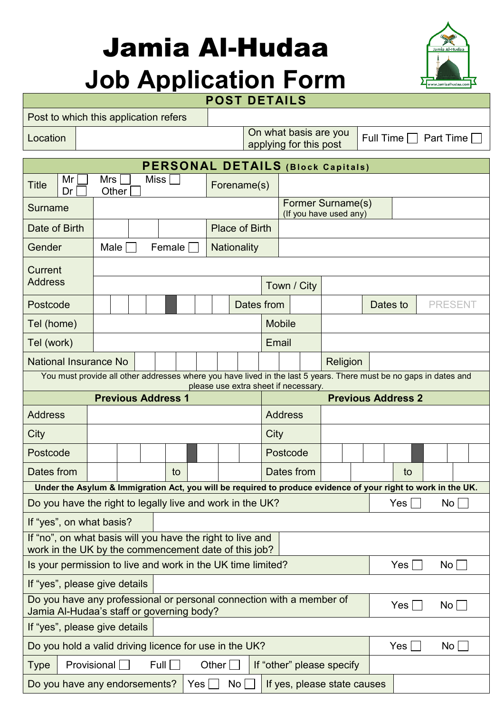# Jamia Al-Hudaa **Job Application Form**



### **POST DETAILS**

|                  |    |       | Post to which this application refers |                   |                                                 |                                   |
|------------------|----|-------|---------------------------------------|-------------------|-------------------------------------------------|-----------------------------------|
| Location         |    |       |                                       |                   | On what basis are you<br>applying for this post | Full Time $\Box$ Part Time $\Box$ |
|                  |    |       |                                       |                   |                                                 |                                   |
|                  |    |       |                                       |                   | <b>PERSONAL DETAILS (Block Capitals)</b>        |                                   |
| TiH <sub>0</sub> | Mr | Mrs I | Miss I                                | $E$ aronamo $(c)$ |                                                 |                                   |

| Mr<br>Title<br>Dr                                                                                                              | Mrs<br>Other                                                                                   | Miss |        |       | Forename(s)           |       |                |                                             |          |     |  |                 |  |
|--------------------------------------------------------------------------------------------------------------------------------|------------------------------------------------------------------------------------------------|------|--------|-------|-----------------------|-------|----------------|---------------------------------------------|----------|-----|--|-----------------|--|
| Surname                                                                                                                        |                                                                                                |      |        |       |                       |       |                | Former Surname(s)<br>(If you have used any) |          |     |  |                 |  |
| Date of Birth                                                                                                                  |                                                                                                |      |        |       | <b>Place of Birth</b> |       |                |                                             |          |     |  |                 |  |
| Gender                                                                                                                         | Male                                                                                           |      | Female |       | <b>Nationality</b>    |       |                |                                             |          |     |  |                 |  |
| Current                                                                                                                        |                                                                                                |      |        |       |                       |       |                |                                             |          |     |  |                 |  |
| <b>Address</b>                                                                                                                 |                                                                                                |      |        |       |                       |       | Town / City    |                                             |          |     |  |                 |  |
| Postcode                                                                                                                       |                                                                                                |      |        |       | Dates from            |       |                |                                             | Dates to |     |  | <b>PRESENT</b>  |  |
| Tel (home)                                                                                                                     |                                                                                                |      |        |       |                       |       | <b>Mobile</b>  |                                             |          |     |  |                 |  |
| Tel (work)                                                                                                                     |                                                                                                |      |        |       |                       | Email |                |                                             |          |     |  |                 |  |
| <b>National Insurance No</b>                                                                                                   |                                                                                                |      |        |       |                       |       |                | Religion                                    |          |     |  |                 |  |
| You must provide all other addresses where you have lived in the last 5 years. There must be no gaps in dates and              |                                                                                                |      |        |       |                       |       |                |                                             |          |     |  |                 |  |
|                                                                                                                                | please use extra sheet if necessary.<br><b>Previous Address 2</b><br><b>Previous Address 1</b> |      |        |       |                       |       |                |                                             |          |     |  |                 |  |
| <b>Address</b>                                                                                                                 |                                                                                                |      |        |       |                       |       | <b>Address</b> |                                             |          |     |  |                 |  |
| City                                                                                                                           |                                                                                                |      |        |       |                       | City  |                |                                             |          |     |  |                 |  |
| Postcode                                                                                                                       |                                                                                                |      |        |       |                       |       | Postcode       |                                             |          |     |  |                 |  |
| Dates from                                                                                                                     |                                                                                                |      | to     |       |                       |       | Dates from     |                                             |          | to  |  |                 |  |
| Under the Asylum & Immigration Act, you will be required to produce evidence of your right to work in the UK.                  |                                                                                                |      |        |       |                       |       |                |                                             |          |     |  |                 |  |
| Do you have the right to legally live and work in the UK?                                                                      |                                                                                                |      |        |       |                       |       |                |                                             |          | Yes |  | No              |  |
| If "yes", on what basis?                                                                                                       |                                                                                                |      |        |       |                       |       |                |                                             |          |     |  |                 |  |
| If "no", on what basis will you have the right to live and<br>work in the UK by the commencement date of this job?             |                                                                                                |      |        |       |                       |       |                |                                             |          |     |  |                 |  |
| Is your permission to live and work in the UK time limited?                                                                    |                                                                                                |      |        |       |                       |       |                |                                             |          | Yes |  | No              |  |
| If "yes", please give details                                                                                                  |                                                                                                |      |        |       |                       |       |                |                                             |          |     |  |                 |  |
| Do you have any professional or personal connection with a member of<br>Yes<br>No<br>Jamia Al-Hudaa's staff or governing body? |                                                                                                |      |        |       |                       |       |                |                                             |          |     |  |                 |  |
| If "yes", please give details                                                                                                  |                                                                                                |      |        |       |                       |       |                |                                             |          |     |  |                 |  |
| Do you hold a valid driving licence for use in the UK?                                                                         |                                                                                                |      |        |       |                       |       |                |                                             |          | Yes |  | No <sub>1</sub> |  |
| Type                                                                                                                           | Provisional                                                                                    | Full |        | Other |                       |       |                | If "other" please specify                   |          |     |  |                 |  |
| Do you have any endorsements?                                                                                                  |                                                                                                |      | Yes    |       | No <sub>1</sub>       |       |                | If yes, please state causes                 |          |     |  |                 |  |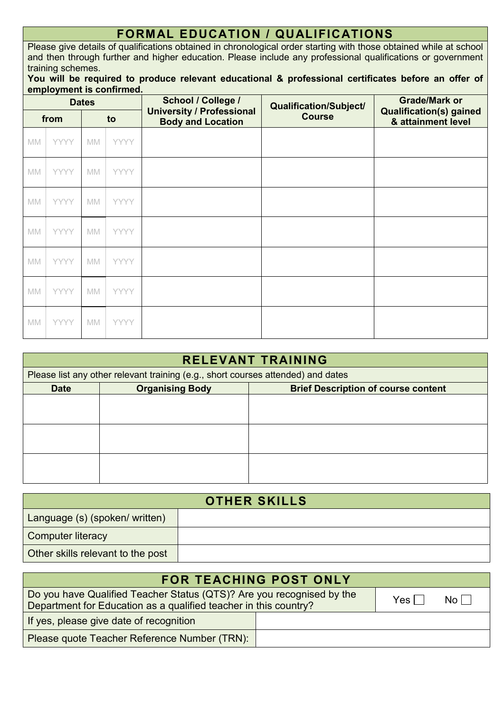### **FORMAL EDUCATION / QUALIFICATIONS**

Please give details of qualifications obtained in chronological order starting with those obtained while at school and then through further and higher education. Please include any professional qualifications or government training schemes.

#### **You will be required to produce relevant educational & professional certificates before an offer of employment is confirmed.**

| <b>Dates</b>           |             |           |             | School / College /<br><b>University / Professional</b> | Qualification/Subject/ | <b>Grade/Mark or</b><br><b>Qualification(s) gained</b> |
|------------------------|-------------|-----------|-------------|--------------------------------------------------------|------------------------|--------------------------------------------------------|
|                        | from        | to        |             | <b>Body and Location</b>                               | <b>Course</b>          | & attainment level                                     |
| MM                     | <b>YYYY</b> | MM        | <b>YYYY</b> |                                                        |                        |                                                        |
| MM                     | <b>YYYY</b> | MM        | <b>YYYY</b> |                                                        |                        |                                                        |
| MM                     | <b>YYYY</b> | <b>MM</b> | <b>YYYY</b> |                                                        |                        |                                                        |
| MM                     | <b>YYYY</b> | <b>MM</b> | <b>YYYY</b> |                                                        |                        |                                                        |
| MM                     | <b>YYYY</b> | <b>MM</b> | <b>YYYY</b> |                                                        |                        |                                                        |
| $\mathbb{M}\mathbb{M}$ | <b>YYYY</b> | MM        | <b>YYYY</b> |                                                        |                        |                                                        |
| MM                     | <b>YYYY</b> | <b>MM</b> | <b>YYYY</b> |                                                        |                        |                                                        |

| <b>RELEVANT TRAINING</b> |                                                                                  |  |  |  |  |  |  |
|--------------------------|----------------------------------------------------------------------------------|--|--|--|--|--|--|
|                          | Please list any other relevant training (e.g., short courses attended) and dates |  |  |  |  |  |  |
| <b>Date</b>              | <b>Organising Body</b><br><b>Brief Description of course content</b>             |  |  |  |  |  |  |
|                          |                                                                                  |  |  |  |  |  |  |
|                          |                                                                                  |  |  |  |  |  |  |
|                          |                                                                                  |  |  |  |  |  |  |
|                          |                                                                                  |  |  |  |  |  |  |
|                          |                                                                                  |  |  |  |  |  |  |
|                          |                                                                                  |  |  |  |  |  |  |

| <b>OTHER SKILLS</b>               |  |  |  |  |  |
|-----------------------------------|--|--|--|--|--|
| Language (s) (spoken/ written)    |  |  |  |  |  |
| <b>Computer literacy</b>          |  |  |  |  |  |
| Other skills relevant to the post |  |  |  |  |  |

| <b>FOR TEACHING POST ONLY</b>                                                                                                                                                         |  |  |  |  |  |  |
|---------------------------------------------------------------------------------------------------------------------------------------------------------------------------------------|--|--|--|--|--|--|
| Do you have Qualified Teacher Status (QTS)? Are you recognised by the<br>$\overline{N}$ o $\overline{1}$<br>Yes I<br>Department for Education as a qualified teacher in this country? |  |  |  |  |  |  |
| If yes, please give date of recognition                                                                                                                                               |  |  |  |  |  |  |
| Please quote Teacher Reference Number (TRN):                                                                                                                                          |  |  |  |  |  |  |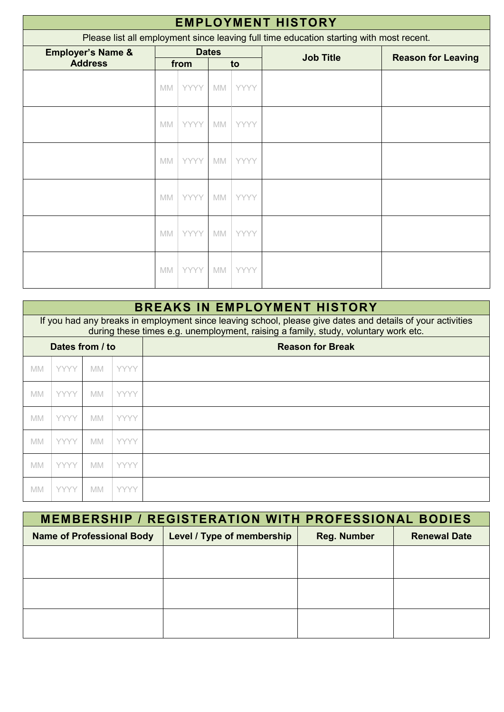| <b>EMPLOYMENT HISTORY</b>                                                               |           |             |              |             |                  |                           |  |  |
|-----------------------------------------------------------------------------------------|-----------|-------------|--------------|-------------|------------------|---------------------------|--|--|
| Please list all employment since leaving full time education starting with most recent. |           |             |              |             |                  |                           |  |  |
| <b>Employer's Name &amp;</b><br><b>Address</b>                                          |           | from        | <b>Dates</b> | to          | <b>Job Title</b> | <b>Reason for Leaving</b> |  |  |
|                                                                                         | <b>MM</b> | <b>YYYY</b> | MM           | <b>YYYY</b> |                  |                           |  |  |
|                                                                                         | <b>MM</b> | <b>YYYY</b> | MM           | <b>YYYY</b> |                  |                           |  |  |
|                                                                                         | <b>MM</b> | <b>YYYY</b> | MM           | <b>YYYY</b> |                  |                           |  |  |
|                                                                                         | <b>MM</b> | <b>YYYY</b> | MM           | <b>YYYY</b> |                  |                           |  |  |
|                                                                                         | <b>MM</b> | <b>YYYY</b> | MM           | YYYY        |                  |                           |  |  |
|                                                                                         | <b>MM</b> | <b>YYYY</b> | MM           | YYYY        |                  |                           |  |  |

|                                            | <b>BREAKS IN EMPLOYMENT HISTORY</b>                                                                                                                                                              |           |             |  |  |  |  |  |  |
|--------------------------------------------|--------------------------------------------------------------------------------------------------------------------------------------------------------------------------------------------------|-----------|-------------|--|--|--|--|--|--|
|                                            | If you had any breaks in employment since leaving school, please give dates and details of your activities<br>during these times e.g. unemployment, raising a family, study, voluntary work etc. |           |             |  |  |  |  |  |  |
| Dates from / to<br><b>Reason for Break</b> |                                                                                                                                                                                                  |           |             |  |  |  |  |  |  |
| <b>MM</b>                                  | <b>YYYY</b>                                                                                                                                                                                      | <b>MM</b> | <b>YYYY</b> |  |  |  |  |  |  |
| <b>MM</b>                                  | <b>YYYY</b>                                                                                                                                                                                      | <b>MM</b> | <b>YYYY</b> |  |  |  |  |  |  |
| <b>MM</b>                                  | <b>YYYY</b>                                                                                                                                                                                      | <b>MM</b> | <b>YYYY</b> |  |  |  |  |  |  |
| <b>MM</b>                                  | <b>YYYY</b>                                                                                                                                                                                      | <b>MM</b> | <b>YYYY</b> |  |  |  |  |  |  |
| <b>MM</b>                                  | <b>YYYY</b>                                                                                                                                                                                      | <b>MM</b> | <b>YYYY</b> |  |  |  |  |  |  |
| <b>MM</b>                                  | <b>YYYY</b>                                                                                                                                                                                      | <b>MM</b> | <b>YYYY</b> |  |  |  |  |  |  |

| <b>MEMBERSHIP / REGISTERATION WITH PROFESSIONAL BODIES</b> |                            |                    |                     |  |  |  |  |
|------------------------------------------------------------|----------------------------|--------------------|---------------------|--|--|--|--|
| <b>Name of Professional Body</b>                           | Level / Type of membership | <b>Reg. Number</b> | <b>Renewal Date</b> |  |  |  |  |
|                                                            |                            |                    |                     |  |  |  |  |
|                                                            |                            |                    |                     |  |  |  |  |
|                                                            |                            |                    |                     |  |  |  |  |
|                                                            |                            |                    |                     |  |  |  |  |
|                                                            |                            |                    |                     |  |  |  |  |
|                                                            |                            |                    |                     |  |  |  |  |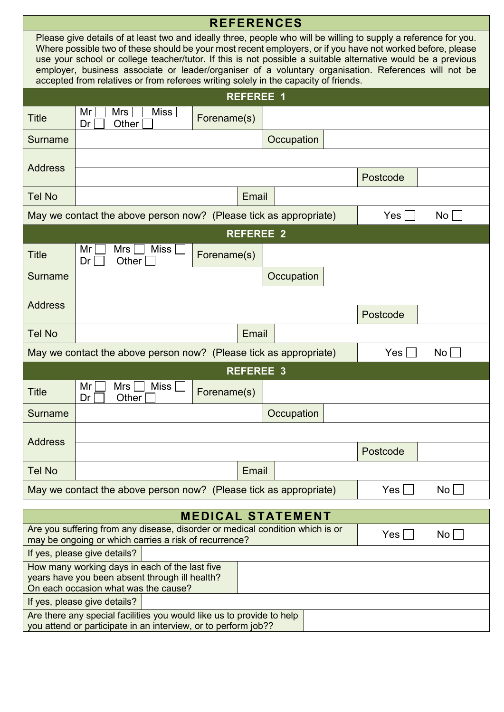| <b>REFERENCES</b>                                                                                                                        |                                                                                                                                                                                                                                                                                                                                                                                                                                                                                                                                               |       |                  |            |                 |  |  |
|------------------------------------------------------------------------------------------------------------------------------------------|-----------------------------------------------------------------------------------------------------------------------------------------------------------------------------------------------------------------------------------------------------------------------------------------------------------------------------------------------------------------------------------------------------------------------------------------------------------------------------------------------------------------------------------------------|-------|------------------|------------|-----------------|--|--|
|                                                                                                                                          | Please give details of at least two and ideally three, people who will be willing to supply a reference for you.<br>Where possible two of these should be your most recent employers, or if you have not worked before, please<br>use your school or college teacher/tutor. If this is not possible a suitable alternative would be a previous<br>employer, business associate or leader/organiser of a voluntary organisation. References will not be<br>accepted from relatives or from referees writing solely in the capacity of friends. |       |                  |            |                 |  |  |
|                                                                                                                                          |                                                                                                                                                                                                                                                                                                                                                                                                                                                                                                                                               |       | <b>REFEREE 1</b> |            |                 |  |  |
| <b>Title</b>                                                                                                                             | Mr<br>Mrs<br>Miss $ $<br>Forename(s)<br>Other<br>Dr                                                                                                                                                                                                                                                                                                                                                                                                                                                                                           |       |                  |            |                 |  |  |
| Surname                                                                                                                                  |                                                                                                                                                                                                                                                                                                                                                                                                                                                                                                                                               |       | Occupation       |            |                 |  |  |
|                                                                                                                                          |                                                                                                                                                                                                                                                                                                                                                                                                                                                                                                                                               |       |                  |            |                 |  |  |
| <b>Address</b>                                                                                                                           |                                                                                                                                                                                                                                                                                                                                                                                                                                                                                                                                               |       |                  | Postcode   |                 |  |  |
| <b>Tel No</b>                                                                                                                            |                                                                                                                                                                                                                                                                                                                                                                                                                                                                                                                                               | Email |                  |            |                 |  |  |
|                                                                                                                                          | May we contact the above person now? (Please tick as appropriate)                                                                                                                                                                                                                                                                                                                                                                                                                                                                             |       |                  | Yes        | No l            |  |  |
|                                                                                                                                          |                                                                                                                                                                                                                                                                                                                                                                                                                                                                                                                                               |       | <b>REFEREE 2</b> |            |                 |  |  |
| <b>Title</b>                                                                                                                             | <b>Miss</b><br>Mr<br>Mrs<br>Forename(s)<br>Dr<br>Other                                                                                                                                                                                                                                                                                                                                                                                                                                                                                        |       |                  |            |                 |  |  |
| <b>Surname</b>                                                                                                                           |                                                                                                                                                                                                                                                                                                                                                                                                                                                                                                                                               |       | Occupation       |            |                 |  |  |
|                                                                                                                                          |                                                                                                                                                                                                                                                                                                                                                                                                                                                                                                                                               |       |                  |            |                 |  |  |
| <b>Address</b>                                                                                                                           |                                                                                                                                                                                                                                                                                                                                                                                                                                                                                                                                               |       |                  | Postcode   |                 |  |  |
| <b>Tel No</b>                                                                                                                            |                                                                                                                                                                                                                                                                                                                                                                                                                                                                                                                                               | Email |                  |            |                 |  |  |
|                                                                                                                                          | May we contact the above person now? (Please tick as appropriate)                                                                                                                                                                                                                                                                                                                                                                                                                                                                             |       |                  | <b>Yes</b> | No <sub>1</sub> |  |  |
|                                                                                                                                          |                                                                                                                                                                                                                                                                                                                                                                                                                                                                                                                                               |       | <b>REFEREE 3</b> |            |                 |  |  |
| <b>Title</b>                                                                                                                             | <b>Miss</b><br>Mrs<br>Mr<br>Forename(s)<br>Other $\Box$<br>Dr <sub>1</sub>                                                                                                                                                                                                                                                                                                                                                                                                                                                                    |       |                  |            |                 |  |  |
| Surname                                                                                                                                  |                                                                                                                                                                                                                                                                                                                                                                                                                                                                                                                                               |       | Occupation       |            |                 |  |  |
|                                                                                                                                          |                                                                                                                                                                                                                                                                                                                                                                                                                                                                                                                                               |       |                  |            |                 |  |  |
| <b>Address</b>                                                                                                                           |                                                                                                                                                                                                                                                                                                                                                                                                                                                                                                                                               |       |                  | Postcode   |                 |  |  |
| <b>Tel No</b>                                                                                                                            |                                                                                                                                                                                                                                                                                                                                                                                                                                                                                                                                               | Email |                  |            |                 |  |  |
|                                                                                                                                          | May we contact the above person now? (Please tick as appropriate)                                                                                                                                                                                                                                                                                                                                                                                                                                                                             |       |                  | Yes        | No.             |  |  |
|                                                                                                                                          | <b>MEDICAL STATEMENT</b>                                                                                                                                                                                                                                                                                                                                                                                                                                                                                                                      |       |                  |            |                 |  |  |
|                                                                                                                                          | Are you suffering from any disease, disorder or medical condition which is or<br>may be ongoing or which carries a risk of recurrence?                                                                                                                                                                                                                                                                                                                                                                                                        |       |                  | Yes        | No              |  |  |
|                                                                                                                                          | If yes, please give details?                                                                                                                                                                                                                                                                                                                                                                                                                                                                                                                  |       |                  |            |                 |  |  |
| How many working days in each of the last five<br>years have you been absent through ill health?<br>On each occasion what was the cause? |                                                                                                                                                                                                                                                                                                                                                                                                                                                                                                                                               |       |                  |            |                 |  |  |
|                                                                                                                                          | If yes, please give details?                                                                                                                                                                                                                                                                                                                                                                                                                                                                                                                  |       |                  |            |                 |  |  |
|                                                                                                                                          | Are there any special facilities you would like us to provide to help<br>you attend or participate in an interview, or to perform job??                                                                                                                                                                                                                                                                                                                                                                                                       |       |                  |            |                 |  |  |
|                                                                                                                                          |                                                                                                                                                                                                                                                                                                                                                                                                                                                                                                                                               |       |                  |            |                 |  |  |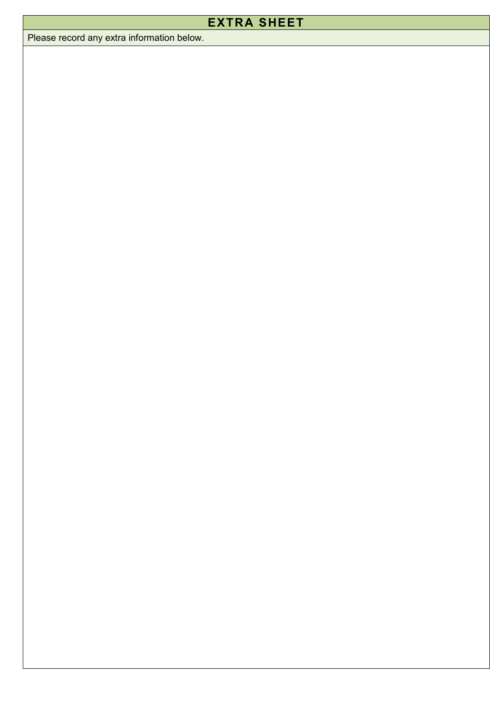### **EXTRA SHEET**

Please record any extra information below.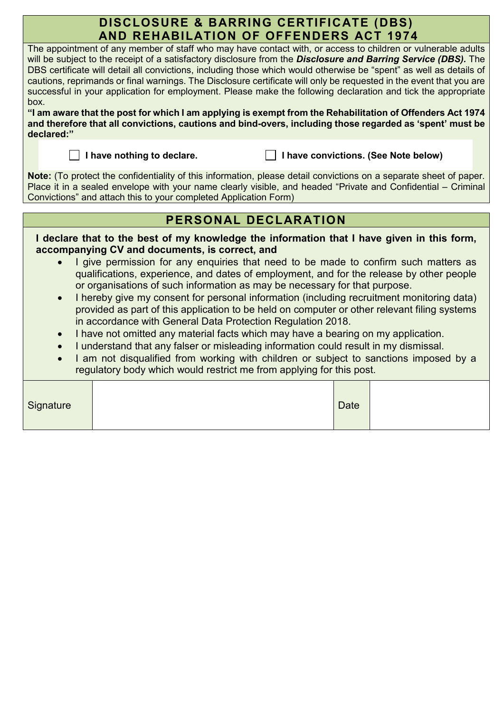### **DISCLOSURE & BARRING CERTIFICATE (DBS) AND REHABILATION OF OFFENDERS ACT 1974**

The appointment of any member of staff who may have contact with, or access to children or vulnerable adults will be subject to the receipt of a satisfactory disclosure from the *Disclosure and Barring Service (DBS).* The DBS certificate will detail all convictions, including those which would otherwise be "spent" as well as details of cautions, reprimands or final warnings. The Disclosure certificate will only be requested in the event that you are successful in your application for employment. Please make the following declaration and tick the appropriate box.

**"I am aware that the post for which I am applying is exempt from the Rehabilitation of Offenders Act 1974 and therefore that all convictions, cautions and bind-overs, including those regarded as 'spent' must be declared:"** 

 **I have nothing to declare. I have convictions. (See Note below)**

**Note:** (To protect the confidentiality of this information, please detail convictions on a separate sheet of paper. Place it in a sealed envelope with your name clearly visible, and headed "Private and Confidential – Criminal Convictions" and attach this to your completed Application Form)

### **PERSONAL DECLARATION**

| $\bullet$<br>$\bullet$<br>$\bullet$<br>$\bullet$<br>$\bullet$ | I declare that to the best of my knowledge the information that I have given in this form,<br>accompanying CV and documents, is correct, and<br>I give permission for any enquiries that need to be made to confirm such matters as<br>qualifications, experience, and dates of employment, and for the release by other people<br>or organisations of such information as may be necessary for that purpose.<br>I hereby give my consent for personal information (including recruitment monitoring data)<br>provided as part of this application to be held on computer or other relevant filing systems<br>in accordance with General Data Protection Regulation 2018.<br>I have not omitted any material facts which may have a bearing on my application.<br>I understand that any falser or misleading information could result in my dismissal.<br>I am not disqualified from working with children or subject to sanctions imposed by a |  |
|---------------------------------------------------------------|-------------------------------------------------------------------------------------------------------------------------------------------------------------------------------------------------------------------------------------------------------------------------------------------------------------------------------------------------------------------------------------------------------------------------------------------------------------------------------------------------------------------------------------------------------------------------------------------------------------------------------------------------------------------------------------------------------------------------------------------------------------------------------------------------------------------------------------------------------------------------------------------------------------------------------------------------|--|
|                                                               | regulatory body which would restrict me from applying for this post.                                                                                                                                                                                                                                                                                                                                                                                                                                                                                                                                                                                                                                                                                                                                                                                                                                                                            |  |
|                                                               |                                                                                                                                                                                                                                                                                                                                                                                                                                                                                                                                                                                                                                                                                                                                                                                                                                                                                                                                                 |  |

| Signature |  | Date |  |
|-----------|--|------|--|
|-----------|--|------|--|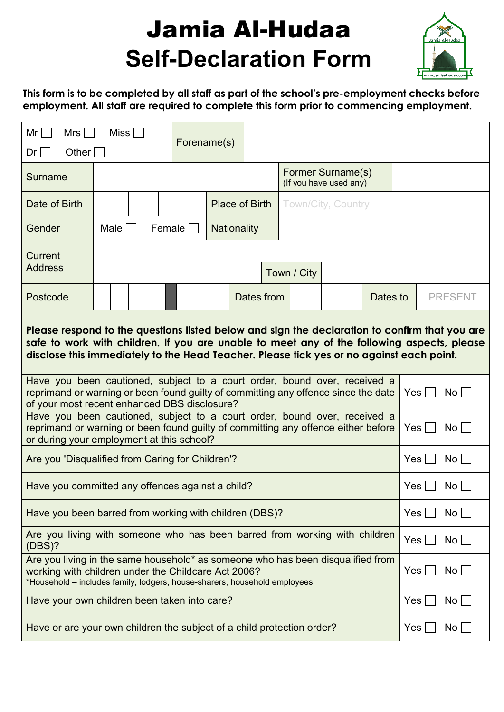# Jamia Al-Hudaa **Self-Declaration Form**



**This form is to be completed by all staff as part of the school's pre-employment checks before employment. All staff are required to complete this form prior to commencing employment.** 

| Mr l<br>Mrs<br>Other $\Box$<br>Dr l                                                                                                                                                                                                                                                     | Miss $\Box$                                 |                                                    | Forename(s) |                    |            |             |     |             |                 |     |                 |
|-----------------------------------------------------------------------------------------------------------------------------------------------------------------------------------------------------------------------------------------------------------------------------------------|---------------------------------------------|----------------------------------------------------|-------------|--------------------|------------|-------------|-----|-------------|-----------------|-----|-----------------|
| Surname                                                                                                                                                                                                                                                                                 | Former Surname(s)<br>(If you have used any) |                                                    |             |                    |            |             |     |             |                 |     |                 |
| Date of Birth                                                                                                                                                                                                                                                                           |                                             | <b>Place of Birth</b><br><b>Town/City, Country</b> |             |                    |            |             |     |             |                 |     |                 |
| Gender                                                                                                                                                                                                                                                                                  | $Male \mid \cdot$                           |                                                    | Female      | <b>Nationality</b> |            |             |     |             |                 |     |                 |
| <b>Current</b>                                                                                                                                                                                                                                                                          |                                             |                                                    |             |                    |            |             |     |             |                 |     |                 |
| <b>Address</b>                                                                                                                                                                                                                                                                          |                                             |                                                    |             |                    |            | Town / City |     |             |                 |     |                 |
| Postcode                                                                                                                                                                                                                                                                                |                                             |                                                    |             |                    | Dates from |             |     | Dates to    |                 |     | <b>PRESENT</b>  |
| Please respond to the questions listed below and sign the declaration to confirm that you are<br>safe to work with children. If you are unable to meet any of the following aspects, please<br>disclose this immediately to the Head Teacher. Please tick yes or no against each point. |                                             |                                                    |             |                    |            |             |     |             |                 |     |                 |
| Have you been cautioned, subject to a court order, bound over, received a<br>reprimand or warning or been found guilty of committing any offence since the date<br>of your most recent enhanced DBS disclosure?                                                                         |                                             |                                                    |             |                    |            |             | Yes |             | No l            |     |                 |
| Have you been cautioned, subject to a court order, bound over, received a<br>reprimand or warning or been found guilty of committing any offence either before<br>or during your employment at this school?                                                                             |                                             |                                                    |             |                    |            |             |     |             | Yes             |     | No L            |
| Are you 'Disqualified from Caring for Children'?                                                                                                                                                                                                                                        |                                             |                                                    |             |                    |            |             |     |             |                 | Yes | No              |
| Have you committed any offences against a child?                                                                                                                                                                                                                                        |                                             |                                                    |             |                    |            |             |     |             | Yes             |     | No <sub>1</sub> |
| Have you been barred from working with children (DBS)?                                                                                                                                                                                                                                  |                                             |                                                    |             |                    |            |             |     |             | Yes             |     | No l            |
| Are you living with someone who has been barred from working with children<br>(DBS)?                                                                                                                                                                                                    |                                             |                                                    |             |                    |            |             |     | $Yes \perp$ | No              |     |                 |
| Are you living in the same household* as someone who has been disqualified from<br>working with children under the Childcare Act 2006?<br>*Household - includes family, lodgers, house-sharers, household employees                                                                     |                                             |                                                    |             |                    |            |             | Yes |             | $\mathsf{No}$   |     |                 |
| Have your own children been taken into care?                                                                                                                                                                                                                                            |                                             |                                                    |             |                    |            |             |     |             | Yes             |     | $\mathsf{No}$   |
| Have or are your own children the subject of a child protection order?                                                                                                                                                                                                                  |                                             |                                                    |             |                    |            |             | Yes |             | No <sub>1</sub> |     |                 |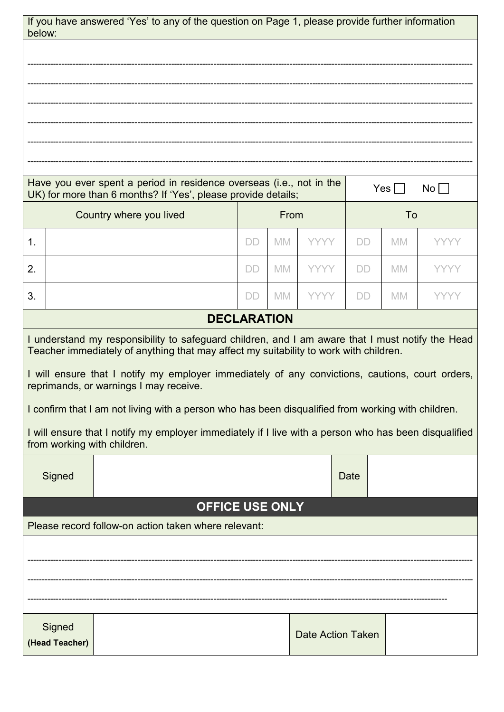|        |                                                                                                                                                                                           | If you have answered 'Yes' to any of the question on Page 1, please provide further information                                           |           |           |                          |           |            |             |
|--------|-------------------------------------------------------------------------------------------------------------------------------------------------------------------------------------------|-------------------------------------------------------------------------------------------------------------------------------------------|-----------|-----------|--------------------------|-----------|------------|-------------|
| below: |                                                                                                                                                                                           |                                                                                                                                           |           |           |                          |           |            |             |
|        |                                                                                                                                                                                           |                                                                                                                                           |           |           |                          |           |            |             |
|        |                                                                                                                                                                                           |                                                                                                                                           |           |           |                          |           |            |             |
|        |                                                                                                                                                                                           |                                                                                                                                           |           |           |                          |           |            |             |
|        |                                                                                                                                                                                           |                                                                                                                                           |           |           |                          |           |            |             |
|        |                                                                                                                                                                                           |                                                                                                                                           |           |           |                          |           |            |             |
|        |                                                                                                                                                                                           | Have you ever spent a period in residence overseas (i.e., not in the<br>UK) for more than 6 months? If 'Yes', please provide details;     |           |           |                          |           | Yes $\Box$ | $No$ $ $    |
|        |                                                                                                                                                                                           | Country where you lived                                                                                                                   |           | From      |                          |           | To         |             |
| 1.     |                                                                                                                                                                                           |                                                                                                                                           | <b>DD</b> | <b>MM</b> | <b>YYYY</b>              | <b>DD</b> | <b>MM</b>  | YYYY        |
| 2.     |                                                                                                                                                                                           |                                                                                                                                           | DD        | <b>MM</b> | <b>YYYY</b>              | DD        | <b>MM</b>  | <b>YYYY</b> |
| 3.     |                                                                                                                                                                                           |                                                                                                                                           | DD        | <b>MM</b> | <b>YYYY</b>              | <b>DD</b> | <b>MM</b>  | YYYY        |
|        |                                                                                                                                                                                           | <b>DECLARATION</b>                                                                                                                        |           |           |                          |           |            |             |
|        | I understand my responsibility to safeguard children, and I am aware that I must notify the Head<br>Teacher immediately of anything that may affect my suitability to work with children. |                                                                                                                                           |           |           |                          |           |            |             |
|        |                                                                                                                                                                                           | I will ensure that I notify my employer immediately of any convictions, cautions, court orders,<br>reprimands, or warnings I may receive. |           |           |                          |           |            |             |
|        |                                                                                                                                                                                           | I confirm that I am not living with a person who has been disqualified from working with children.                                        |           |           |                          |           |            |             |
|        |                                                                                                                                                                                           | I will ensure that I notify my employer immediately if I live with a person who has been disqualified<br>from working with children.      |           |           |                          |           |            |             |
|        | Signed                                                                                                                                                                                    |                                                                                                                                           |           |           |                          | Date      |            |             |
|        |                                                                                                                                                                                           | <b>OFFICE USE ONLY</b>                                                                                                                    |           |           |                          |           |            |             |
|        |                                                                                                                                                                                           | Please record follow-on action taken where relevant:                                                                                      |           |           |                          |           |            |             |
|        |                                                                                                                                                                                           |                                                                                                                                           |           |           |                          |           |            |             |
|        |                                                                                                                                                                                           |                                                                                                                                           |           |           |                          |           |            |             |
|        |                                                                                                                                                                                           |                                                                                                                                           |           |           |                          |           |            |             |
|        | Signed                                                                                                                                                                                    |                                                                                                                                           |           |           | <b>Date Action Taken</b> |           |            |             |
|        | (Head Teacher)                                                                                                                                                                            |                                                                                                                                           |           |           |                          |           |            |             |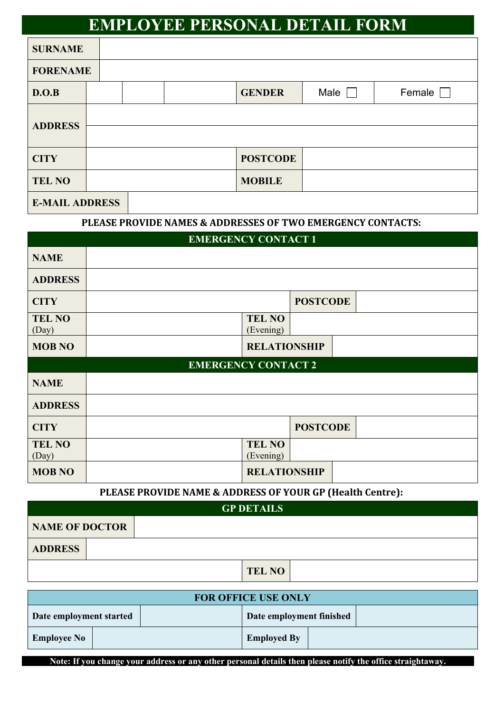## **EMPLOYEE PERSONAL DETAIL FORM**

| <b>SURNAME</b>        |  |                 |             |        |
|-----------------------|--|-----------------|-------------|--------|
| <b>FORENAME</b>       |  |                 |             |        |
| D.O.B                 |  | <b>GENDER</b>   | Male $\Box$ | Female |
|                       |  |                 |             |        |
| <b>ADDRESS</b>        |  |                 |             |        |
| <b>CITY</b>           |  | <b>POSTCODE</b> |             |        |
| <b>TEL NO</b>         |  | <b>MOBILE</b>   |             |        |
| <b>E-MAIL ADDRESS</b> |  |                 |             |        |

#### **PLEASE PROVIDE NAMES & ADDRESSES OF TWO EMERGENCY CONTACTS:**

|                        | <b>EMERGENCY CONTACT 1</b> |                 |
|------------------------|----------------------------|-----------------|
| <b>NAME</b>            |                            |                 |
| <b>ADDRESS</b>         |                            |                 |
| <b>CITY</b>            |                            | <b>POSTCODE</b> |
| <b>TEL NO</b><br>(Day) | <b>TEL NO</b><br>(Evening) |                 |
| <b>MOB NO</b>          | <b>RELATIONSHIP</b>        |                 |
|                        | <b>EMERGENCY CONTACT 2</b> |                 |
| <b>NAME</b>            |                            |                 |
| <b>ADDRESS</b>         |                            |                 |
| <b>CITY</b>            |                            | <b>POSTCODE</b> |
| <b>TEL NO</b><br>(Day) | <b>TEL NO</b><br>(Evening) |                 |
| <b>MOB NO</b>          | <b>RELATIONSHIP</b>        |                 |

### **PLEASE PROVIDE NAME & ADDRESS OF YOUR GP (Health Centre):**

| <b>GP DETAILS</b>     |               |  |  |  |  |  |  |  |
|-----------------------|---------------|--|--|--|--|--|--|--|
| <b>NAME OF DOCTOR</b> |               |  |  |  |  |  |  |  |
| <b>ADDRESS</b>        |               |  |  |  |  |  |  |  |
|                       | <b>TEL NO</b> |  |  |  |  |  |  |  |

| <b>FOR OFFICE USE ONLY</b> |  |  |                          |  |  |  |  |  |
|----------------------------|--|--|--------------------------|--|--|--|--|--|
| Date employment started    |  |  | Date employment finished |  |  |  |  |  |
| <b>Employee No</b>         |  |  | <b>Employed By</b>       |  |  |  |  |  |

**Note: If you change your address or any other personal details then please notify the office straightaway.**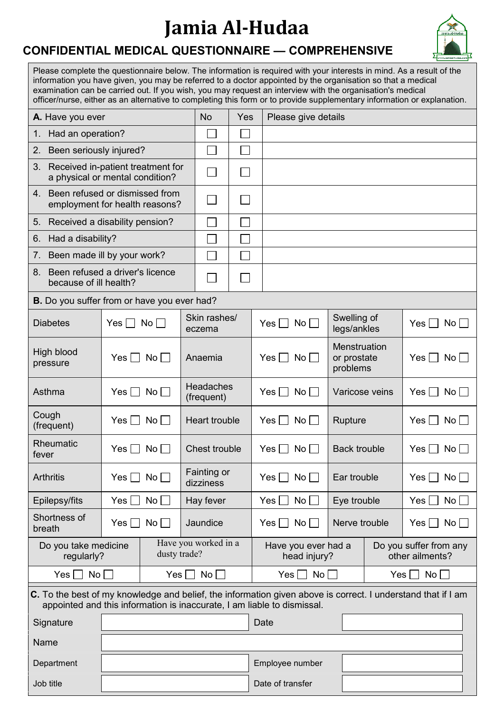## **Jamia Al-Hudaa**

### **CONFIDENTIAL MEDICAL QUESTIONNAIRE — COMPREHENSIVE**

| Please complete the questionnaire below. The information is required with your interests in mind. As a result of the    |
|-------------------------------------------------------------------------------------------------------------------------|
| information you have given, you may be referred to a doctor appointed by the organisation so that a medical             |
| examination can be carried out. If you wish, you may request an interview with the organisation's medical               |
| officer/nurse, either as an alternative to completing this form or to provide supplementary information or explanation. |

| A. Have you ever                                                           |                                                                                                                                                                                         | <b>No</b>                      | Yes              |                                     | Please give details                         |                                         |     |                                           |                                      |
|----------------------------------------------------------------------------|-----------------------------------------------------------------------------------------------------------------------------------------------------------------------------------------|--------------------------------|------------------|-------------------------------------|---------------------------------------------|-----------------------------------------|-----|-------------------------------------------|--------------------------------------|
| Had an operation?<br>1.                                                    |                                                                                                                                                                                         |                                |                  |                                     |                                             |                                         |     |                                           |                                      |
| Been seriously injured?<br>2.                                              |                                                                                                                                                                                         |                                |                  |                                     |                                             |                                         |     |                                           |                                      |
| 3.<br>Received in-patient treatment for<br>a physical or mental condition? |                                                                                                                                                                                         |                                |                  |                                     |                                             |                                         |     |                                           |                                      |
| 4.                                                                         | Been refused or dismissed from<br>employment for health reasons?                                                                                                                        |                                |                  |                                     |                                             |                                         |     |                                           |                                      |
| 5.                                                                         | Received a disability pension?                                                                                                                                                          |                                |                  |                                     |                                             |                                         |     |                                           |                                      |
| Had a disability?<br>6.                                                    |                                                                                                                                                                                         |                                |                  |                                     |                                             |                                         |     |                                           |                                      |
| 7.                                                                         | Been made ill by your work?                                                                                                                                                             |                                |                  |                                     |                                             |                                         |     |                                           |                                      |
| 8.<br>because of ill health?                                               | Been refused a driver's licence                                                                                                                                                         |                                | L.               |                                     |                                             |                                         |     |                                           |                                      |
|                                                                            | <b>B.</b> Do you suffer from or have you ever had?                                                                                                                                      |                                |                  |                                     |                                             |                                         |     |                                           |                                      |
| <b>Diabetes</b>                                                            | No<br>$Yes$ $\Box$                                                                                                                                                                      | Skin rashes/<br>eczema         |                  |                                     | Yes $\Box$ No $\Box$                        | Swelling of<br>legs/ankles              |     |                                           | Yes $\Box$<br>$No \Box$              |
| High blood<br>pressure                                                     | $No \Box$<br>Yes II                                                                                                                                                                     | Anaemia                        |                  |                                     | $Yes \Box No \Box$                          | Menstruation<br>or prostate<br>problems |     |                                           | $Yes \mid  No  \mid$                 |
| Asthma                                                                     | No<br>Yes                                                                                                                                                                               | <b>Headaches</b><br>(frequent) |                  |                                     | Yes $\Box$ No $\Box$                        | Varicose veins                          |     |                                           | Yes $\Box$ No $\Box$                 |
| Cough<br>(frequent)                                                        | No<br>Yes                                                                                                                                                                               | <b>Heart trouble</b>           |                  |                                     | Yes $\Box$ No $\Box$                        | Rupture                                 |     |                                           | $No \BoxYes    $                     |
| Rheumatic<br>fever                                                         | $No \Box$<br>Yes                                                                                                                                                                        | Chest trouble                  |                  |                                     | Yes $\Box$ No $\Box$<br><b>Back trouble</b> |                                         |     |                                           | $No \Box$<br>Yes $\Box$              |
| <b>Arthritis</b>                                                           | Yes <br>$No$ $ $                                                                                                                                                                        | Fainting or<br>dizziness       |                  |                                     | $Yes \mid  No \mid  $                       | Ear trouble                             |     |                                           | $Yes \mid \text{No} \mid$            |
| Epilepsy/fits                                                              | $No \Box$<br>Yes                                                                                                                                                                        | Hay fever                      |                  |                                     | No <sub>1</sub><br>$Yes \Box$               | Eye trouble                             |     |                                           | No <sub>1</sub><br>Yes               |
| Shortness of<br>breath                                                     | No<br>Yes                                                                                                                                                                               | Jaundice                       |                  |                                     | Yes $\Box$ No $\Box$                        |                                         |     | Nerve trouble                             | $\mathsf{No} \,   \, \square$<br>Yes |
| Do you take medicine<br>regularly?                                         | Have you worked in a<br>dusty trade?                                                                                                                                                    |                                |                  | Have you ever had a<br>head injury? |                                             |                                         |     | Do you suffer from any<br>other ailments? |                                      |
| $No \Box$<br>Yes                                                           | $Yes \Box$<br>No                                                                                                                                                                        |                                |                  | No <sub>1</sub><br>Yes              |                                             |                                         | Yes | No                                        |                                      |
|                                                                            | C. To the best of my knowledge and belief, the information given above is correct. I understand that if I am<br>appointed and this information is inaccurate, I am liable to dismissal. |                                |                  |                                     |                                             |                                         |     |                                           |                                      |
| Signature                                                                  |                                                                                                                                                                                         |                                | Date             |                                     |                                             |                                         |     |                                           |                                      |
| Name                                                                       |                                                                                                                                                                                         |                                |                  |                                     |                                             |                                         |     |                                           |                                      |
| Department                                                                 |                                                                                                                                                                                         |                                |                  | Employee number                     |                                             |                                         |     |                                           |                                      |
| Job title                                                                  |                                                                                                                                                                                         |                                | Date of transfer |                                     |                                             |                                         |     |                                           |                                      |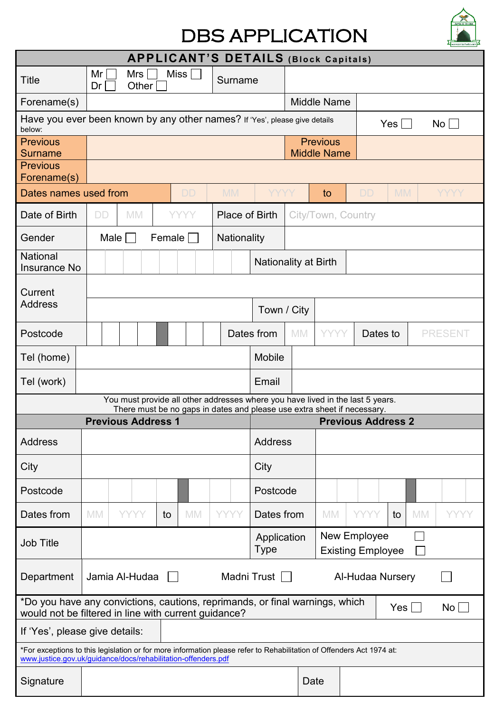## DBS APPLICATION



|                                                                                                                                                                                       | <b>APPLICANT'S DETAILS (Block Capitals)</b> |                           |              |        |             |  |                       |                            |  |                                                                                                                                                           |  |                                          |            |           |                 |
|---------------------------------------------------------------------------------------------------------------------------------------------------------------------------------------|---------------------------------------------|---------------------------|--------------|--------|-------------|--|-----------------------|----------------------------|--|-----------------------------------------------------------------------------------------------------------------------------------------------------------|--|------------------------------------------|------------|-----------|-----------------|
| <b>Title</b>                                                                                                                                                                          | Mr<br>Dr                                    |                           | Mrs<br>Other |        | Miss        |  | Surname               |                            |  |                                                                                                                                                           |  |                                          |            |           |                 |
| Forename(s)                                                                                                                                                                           |                                             |                           |              |        |             |  |                       |                            |  | <b>Middle Name</b>                                                                                                                                        |  |                                          |            |           |                 |
| Have you ever been known by any other names? If 'Yes', please give details<br>below:                                                                                                  |                                             |                           |              |        |             |  |                       |                            |  |                                                                                                                                                           |  |                                          | $Yes \Box$ |           | No              |
| <b>Previous</b><br><b>Surname</b>                                                                                                                                                     |                                             |                           |              |        |             |  |                       |                            |  | <b>Previous</b><br><b>Middle Name</b>                                                                                                                     |  |                                          |            |           |                 |
| <b>Previous</b>                                                                                                                                                                       |                                             |                           |              |        |             |  |                       |                            |  |                                                                                                                                                           |  |                                          |            |           |                 |
| Forename(s)<br>Dates names used from                                                                                                                                                  |                                             |                           |              |        |             |  | <b>MM</b>             | YYYY                       |  |                                                                                                                                                           |  |                                          | <b>MM</b>  |           |                 |
|                                                                                                                                                                                       |                                             |                           |              |        | <b>DD</b>   |  |                       |                            |  | to                                                                                                                                                        |  | <b>DD</b>                                |            |           | YYYY            |
| Date of Birth                                                                                                                                                                         | <b>DD</b>                                   | <b>MM</b>                 |              |        | <b>YYYY</b> |  | <b>Place of Birth</b> |                            |  | City/Town, Country                                                                                                                                        |  |                                          |            |           |                 |
| Gender                                                                                                                                                                                |                                             | Male                      |              | Female |             |  | Nationality           |                            |  |                                                                                                                                                           |  |                                          |            |           |                 |
| <b>National</b><br><b>Insurance No</b>                                                                                                                                                |                                             |                           |              |        |             |  |                       |                            |  | <b>Nationality at Birth</b>                                                                                                                               |  |                                          |            |           |                 |
| Current                                                                                                                                                                               |                                             |                           |              |        |             |  |                       |                            |  |                                                                                                                                                           |  |                                          |            |           |                 |
| <b>Address</b>                                                                                                                                                                        |                                             |                           |              |        |             |  |                       | Town / City                |  |                                                                                                                                                           |  |                                          |            |           |                 |
| Postcode                                                                                                                                                                              |                                             |                           |              |        |             |  |                       | Dates from                 |  | <b>YYYY</b><br><b>MM</b>                                                                                                                                  |  | Dates to                                 |            |           | <b>PRESENT</b>  |
| Tel (home)                                                                                                                                                                            |                                             |                           |              |        |             |  |                       | <b>Mobile</b>              |  |                                                                                                                                                           |  |                                          |            |           |                 |
| Tel (work)                                                                                                                                                                            |                                             |                           |              |        |             |  |                       | Email                      |  |                                                                                                                                                           |  |                                          |            |           |                 |
|                                                                                                                                                                                       |                                             |                           |              |        |             |  |                       |                            |  | You must provide all other addresses where you have lived in the last 5 years.<br>There must be no gaps in dates and please use extra sheet if necessary. |  |                                          |            |           |                 |
|                                                                                                                                                                                       |                                             | <b>Previous Address 1</b> |              |        |             |  |                       |                            |  |                                                                                                                                                           |  | <b>Previous Address 2</b>                |            |           |                 |
| <b>Address</b>                                                                                                                                                                        |                                             |                           |              |        |             |  |                       | <b>Address</b>             |  |                                                                                                                                                           |  |                                          |            |           |                 |
| City                                                                                                                                                                                  |                                             |                           |              |        |             |  |                       | City                       |  |                                                                                                                                                           |  |                                          |            |           |                 |
| Postcode                                                                                                                                                                              |                                             |                           |              |        |             |  |                       | Postcode                   |  |                                                                                                                                                           |  |                                          |            |           |                 |
| Dates from                                                                                                                                                                            | <b>MM</b>                                   | <b>YYYY</b>               |              | to     | <b>MM</b>   |  | <b>YYYY</b>           | Dates from                 |  | <b>MM</b>                                                                                                                                                 |  | <b>YYYY</b>                              | to         | <b>MM</b> | YYYY            |
| <b>Job Title</b>                                                                                                                                                                      |                                             |                           |              |        |             |  |                       | Application<br><b>Type</b> |  |                                                                                                                                                           |  | New Employee<br><b>Existing Employee</b> |            |           |                 |
| Madni Trust<br>Jamia Al-Hudaa<br>Department<br>Al-Hudaa Nursery<br>$\mathbf{1}$                                                                                                       |                                             |                           |              |        |             |  |                       |                            |  |                                                                                                                                                           |  |                                          |            |           |                 |
| *Do you have any convictions, cautions, reprimands, or final warnings, which<br>would not be filtered in line with current guidance?                                                  |                                             |                           |              |        |             |  |                       |                            |  |                                                                                                                                                           |  |                                          | Yes        |           | No <sub>1</sub> |
| If 'Yes', please give details:                                                                                                                                                        |                                             |                           |              |        |             |  |                       |                            |  |                                                                                                                                                           |  |                                          |            |           |                 |
| *For exceptions to this legislation or for more information please refer to Rehabilitation of Offenders Act 1974 at:<br>www.justice.gov.uk/guidance/docs/rehabilitation-offenders.pdf |                                             |                           |              |        |             |  |                       |                            |  |                                                                                                                                                           |  |                                          |            |           |                 |
| Signature                                                                                                                                                                             |                                             |                           |              |        |             |  |                       |                            |  | Date                                                                                                                                                      |  |                                          |            |           |                 |